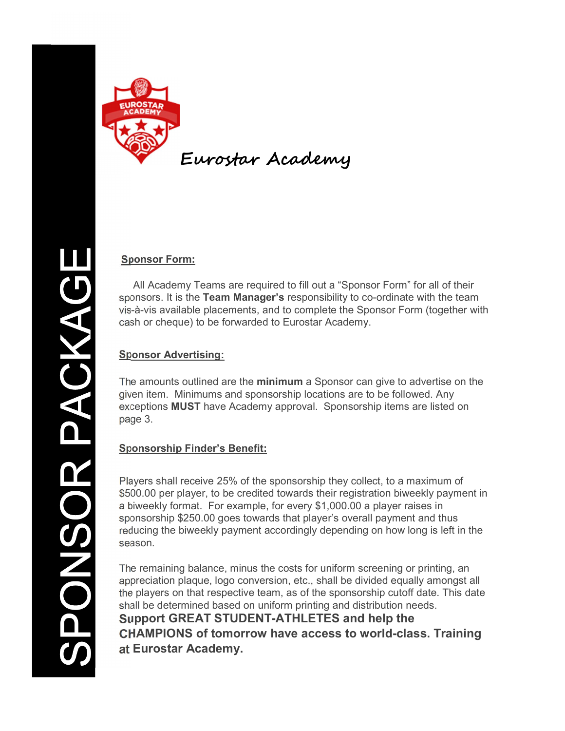

## Sponsor Form:

 All Academy Teams are required to fill out a "Sponsor Form" for all of their sponsors. It is the Team Manager's responsibility to co-ordinate with the team vis-à-vis available placements, and to complete the Sponsor Form (together with cash or cheque) to be forwarded to Eurostar Academy.

#### Sponsor Advertising:

The amounts outlined are the minimum a Sponsor can give to advertise on the given item. Minimums and sponsorship locations are to be followed. Any exceptions MUST have Academy approval. Sponsorship items are listed on page 3.

## Sponsorship Finder's Benefit:

Players shall receive 25% of the sponsorship they collect, to a maximum of \$500.00 per player, to be credited towards their registration biweekly payment in a biweekly format. For example, for every \$1,000.00 a player raises in sponsorship \$250.00 goes towards that player's overall payment and thus reducing the biweekly payment accordingly depending on how long is left in the season.

The remaining balance, minus the costs for uniform screening or printing, an appreciation plaque, logo conversion, etc., shall be divided equally amongst all the players on that respective team, as of the sponsorship cutoff date. This date shall be determined based on uniform printing and distribution needs. Support GREAT STUDENT-ATHLETES and help the CHAMPIONS of tomorrow have access to world-class. Training at Eurostar Academy.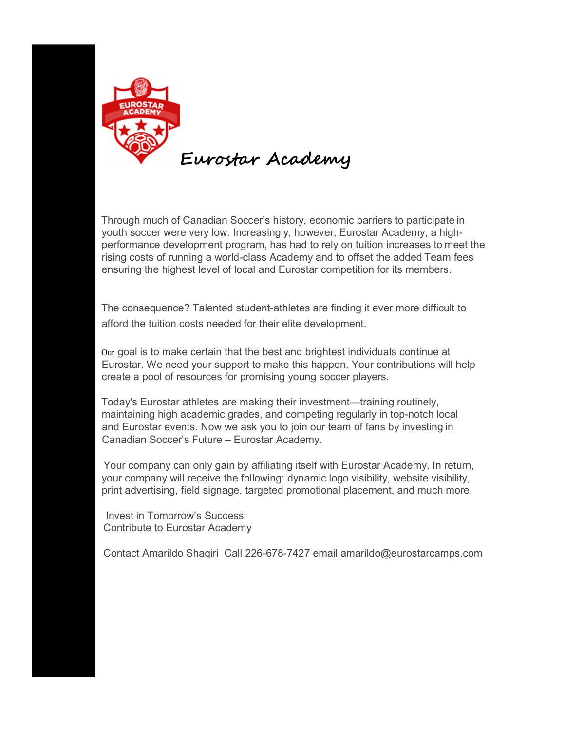

Through much of Canadian Soccer's history, economic barriers to participate in youth soccer were very low. Increasingly, however, Eurostar Academy, a highperformance development program, has had to rely on tuition increases to meet the rising costs of running a world-class Academy and to offset the added Team fees ensuring the highest level of local and Eurostar competition for its members.

The consequence? Talented student-athletes are finding it ever more difficult to afford the tuition costs needed for their elite development.

Our goal is to make certain that the best and brightest individuals continue at Eurostar. We need your support to make this happen. Your contributions will help create a pool of resources for promising young soccer players.

Today's Eurostar athletes are making their investment—training routinely, maintaining high academic grades, and competing regularly in top-notch local and Eurostar events. Now we ask you to join our team of fans by investing in Canadian Soccer's Future – Eurostar Academy.

Your company can only gain by affiliating itself with Eurostar Academy. In return, your company will receive the following: dynamic logo visibility, website visibility, print advertising, field signage, targeted promotional placement, and much more.

 Invest in Tomorrow's Success Contribute to Eurostar Academy

Contact Amarildo Shaqiri Call 226-678-7427 email amarildo@eurostarcamps.com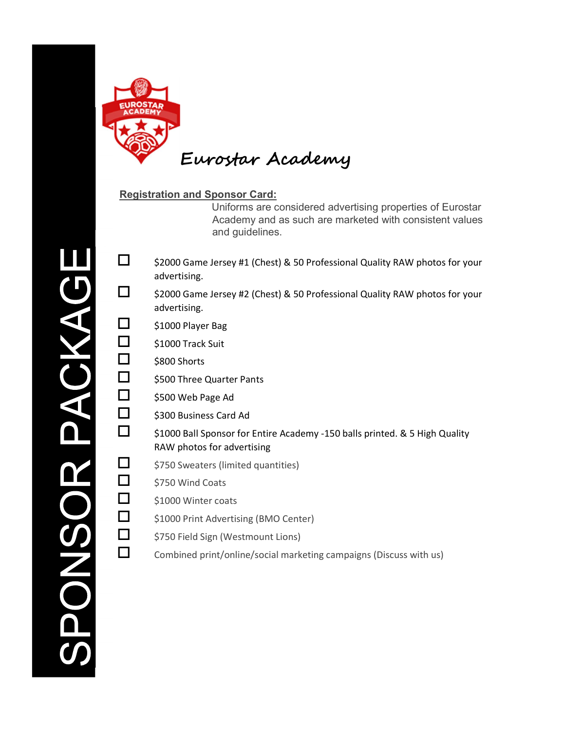

### Registration and Sponsor Card:

Uniforms are considered advertising properties of Eurostar Academy and as such are marketed with consistent values and guidelines.

- $\Box$  \$2000 Game Jersey #1 (Chest) & 50 Professional Quality RAW photos for your advertising.
- $\Box$  \$2000 Game Jersey #2 (Chest) & 50 Professional Quality RAW photos for your advertising.
- $\Box$  \$1000 Player Bag
- $\Box$  \$1000 Track Suit
- $\Box$  \$800 Shorts
- \$500 Three Quarter Pants
- $\Box$  \$500 Web Page Ad
- $\Box$  \$300 Business Card Ad
- \$1000 Ball Sponsor for Entire Academy -150 balls printed. & 5 High Quality RAW photos for advertising
- $\Box$  \$750 Sweaters (limited quantities)
- $\Box$  \$750 Wind Coats
- $\Box$  \$1000 Winter coats
- \$1000 Print Advertising (BMO Center)
- $\Box$  \$750 Field Sign (Westmount Lions)
- $\square$  Combined print/online/social marketing campaigns (Discuss with us)